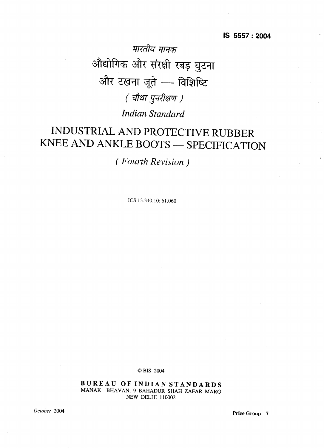भारतीय मानक द्योगिक और संरक्षी रबड़ <u>घ</u> और टखना जूते - विशिष्टि *( चौथा पुनरीक्षण )* 

*Indian Standard*

# INDUSTRIAL AND PROTECTIVE RUBBER KNEE AND ANKLE BOOTS — SPECIFICATION

*( Fourth Revision)*

ICS 13.340.10; 61.060

0 BIS 2004

**BUREAU OF IN DIAN STANDARDS** MANAK BHAVAN, 9 BAHADUR SHAH ZAFAR MARG NEW DELHI 110002

*October <sup>2004</sup>* **Price Group <sup>7</sup>**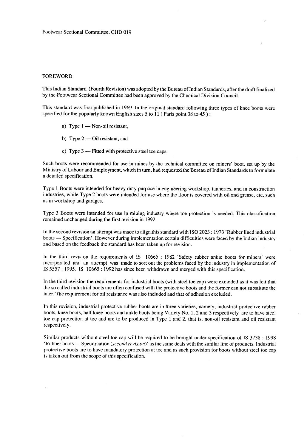# FOREWORD

This Indian Standard (Fourth Revision) was adopted by the Bureau of Indian Standards, after the draft finalized by the Footwear Sectional Committee had been approved by the Chemical Division Council.

This standard was first published in 1969. In the original standard following three types of knee boots were specified for the popularly known English sizes 5 to 11 (Paris point 38 to  $45$ ):

- a) Type 1 Non-oil resistant,
- b) Type 2 Oil resistant, and
- c) Type 3 Fitted with protective steel toe caps.

Such boots were recommended for use in mines by the technical committee on miners' boot, set up by the Ministry of Labour and Employment, which in turn, had requested-the Bureau of Indian Standards to formulate a detailed specification.

Type 1 Boots were intended for heavy duty purpose in engineering workshop, tanneries, and in construction industries, while Type 2 boots were intended for use where the floor is covered with oil and grease, etc, such as in workshop and garages.

Type 3 Boots were intended for use in mining industry where toe protection is needed. This classification remained unchanged during the first revision in 1992.

In the second revision an attempt was made to align.this standard with 1S0 2023:1973 'Rubber lined industrial boots — Specification'. However during implementation certain difficulties were faced by the Indian industry and based on the feedback the standard has been taken up for revision.

In the third revision the requirements of IS 10665 : 1982 'Safety rubber ankle boots for miners' were incorporated and an attempt was made to sort out the problems faced by the industry in implementation of IS 5557:1995. IS 10665:1992 has since been withdrawn and merged with this specification.

In the third revision the requirements for industrial boots (with steel toe cap) were excluded as it was felt that the so called industrial boots are often confused with the protective boots and the former can not substitute the later. The requirement for oil resistance was also included and that of adhesion excluded.

In this revision, industrial protective rubber boots are in three varieties, namely, industrial protective rubber boots, knee boots, half knee boots and ankle boots being Variety No. 1, 2 and 3 respectively are to have steel toe cap protection at toe and are to be produced in Type 1 and 2, that is, non-oil resistant and oil resistant respectively.

Similar products without steel toe cap will be required to be brought under specification of IS 3738:1998 'Rubber boots — Specification (second revision)' as the same deals with the similar line of products. Industrial protective boots are to have mandatory protection at toe and as-such provision for boots without steel toe cap is taken out from the scope of this specification.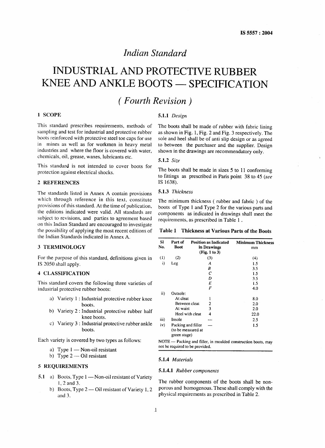# *Indian Standard*

# INDUSTRIAL AND PROTECTIVE RUBBER KNEE AND ANKLE BOOTS — SPECIFICATION

# ( *Fourth Revision)*

# **1** SCOPE

This standard prescribes requirements, methods of sampling and test for industrial and protective rubber boots reinforced with protective steel toe caps for use in mines as well as for workmen in heavy metal industries and where the floor is covered with water, chemicals, oil, grease, waxes, lubricants etc.

This standard is not intended to cover boots for protection against electrical shocks.

# 2 **REFERENCES**

The standards listed in Annex A contain provisions which through reference in this text, constitute provisions of this standard. At the time of publication, the editions indicated were valid. All standards are subject to revisions, and parties to agreement based on this Indian Standard are encouraged to investigate the possibility of applying the most recent editions of the Indian Standards indicated in Annex A.

#### 3 **TERMINOLOGY**

For the purpose of this standard, definitions given in IS 2050 shall apply.

# 4 **CLASSIFICATION**

This standard covers the following three varieties of industrial protective rubber boots:

- a) Variety 1 : Industrial protective rubber knee boots.
- b) Variety 2: Industrial protective rubber half knee boots.
- c) Variety 3: Industrial protective rubber ankle boots.

Each variety is covered by two types as follows:

- a) Type 1 Non-oil resistant
- b) Type  $2$  Oil resistant

# 5 **REQUIREMENTS**

- **5.1 a)** Boots, Type 1— Non-oil resistant of Variety l,2and3.
	- b) Boots, Type 2 Oil resistant of Variety 1,2 and 3.

# **5.1.1** *Design*

The boots shall be made of rubber with fabric lining as shown in Fig. 1, Fig. 2 and Fig. 3 respectively. The sole and heel shall be of anti slip design or as agreed to between the purchaser and the supplier. Design shown in the drawings are recommendatory only.

#### 5.1.2 *Size*

The boots shall be made in sizes 5 to 11 conforming to fittings as prescribed in Paris point  $38$  to  $45$  (see IS 1638).

# 5.1.3 *Thickness*

The minimum thickness ( rubber and fabric ) of the boots of Type 1 and Type 2 for the various parts and components as indicated in drawings shall meet the requirements, as prescribed in Table 1.

**Table 1 Thickness at Various Parts of the Boots**

| Sl<br>No. | Part of<br>Boot                                          | <b>Position as Indicated</b><br>in Drawings<br>(Fig. 1 to 3) | <b>Minimum Thickness</b><br>mm |
|-----------|----------------------------------------------------------|--------------------------------------------------------------|--------------------------------|
| (1)       | (2)                                                      | (3)                                                          | (4)                            |
| i)        | Leg                                                      | A                                                            | 1.5                            |
|           |                                                          | В                                                            | 3.5                            |
|           |                                                          | с                                                            | 1.5                            |
|           |                                                          | D                                                            | 3.5                            |
|           |                                                          | E                                                            | 1.5                            |
|           |                                                          | F                                                            | 4.0                            |
| ii)       | Outsole:                                                 |                                                              |                                |
|           | At cleat                                                 |                                                              | 8.0                            |
|           | Between cleat                                            | 2                                                            | 2.0                            |
|           | At waist                                                 | 3                                                            | 2.0                            |
|           | Heel with cleat                                          | 4                                                            | 22.0                           |
| iii)      | Insole                                                   |                                                              | 2.5                            |
| iv)       | Packing and filler<br>(to be measured at<br>green stage) |                                                              | 1.5                            |

**NOTE — Packing and filler, in moulded constructionboots,may notbe requiredto be provided.**

#### **5.1.4** *Materials*

#### *5.1.4.1 Rubber components*

The rubber components of the boots shall be nonporous and homogeneous. These shall comply with the physical requirements as prescribed in Table 2.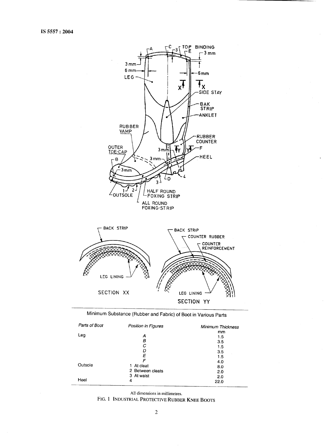

# **Minimum Substance (Rubber and Fabric)** of Boot in **Various Parts**

| Parts of Boot | Position in Figures | Minimum Thickness |
|---------------|---------------------|-------------------|
|               |                     | mm                |
| Leg           | А                   | 1.5               |
|               | в                   | 3.5               |
|               | С                   | 1.5               |
|               | D                   | 3.5               |
|               | E                   | 1.5               |
|               | F                   | 4.0               |
| Outsole       | At cleat<br>1.      | 8.0               |
|               | 2 Between cleats    | 2.0               |
|               | 3 At waist          | 2.0               |
| Heel          | 4                   | 22.0              |

**All dimensionsin millimetres.**

FIG. 1 **INDUSTRIAL PROTECTIVE RUBBER KNEE BOOTS**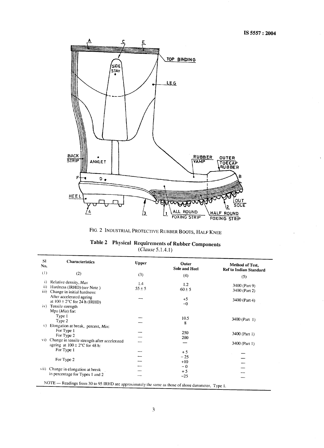

FIG. 2 INDUSTRIAL PROTECTIVE RUBBER BOOTS, HALF KNEE

|  | Table 2 Physical Requirements of Rubber Components |  |
|--|----------------------------------------------------|--|
|  | (Clause 5.1.4.1)                                   |  |

| <b>SI</b>                                                                                          | <b>Characteristics</b>                       | <b>Upper</b> |                               |                        |  |  |
|----------------------------------------------------------------------------------------------------|----------------------------------------------|--------------|-------------------------------|------------------------|--|--|
| No.                                                                                                |                                              |              | Outer<br><b>Sole and Heel</b> | Method of Test,        |  |  |
| (1)                                                                                                | (2)                                          |              |                               | Ref to Indian Standard |  |  |
|                                                                                                    |                                              | (3)          | (4)                           | (5)                    |  |  |
| i)                                                                                                 | Relative density, Max                        | 1.4          | 1.2                           |                        |  |  |
| $\left  \right $                                                                                   | Hardness (IRHD) (see Note)                   | $55 \pm 5$   | $-60 \pm 5$                   | 3400 (Part 9)          |  |  |
| iii)                                                                                               | Change in initial hardness:                  |              |                               | 3400 (Part 2)          |  |  |
|                                                                                                    | After accelerated ageing                     |              | $+5$                          |                        |  |  |
|                                                                                                    | at $100 \pm 2$ °C for 24 h (IRHD)            |              | $-0$                          | 3400 (Part 4)          |  |  |
| $\{V\}$                                                                                            | Tensile strength                             |              |                               |                        |  |  |
|                                                                                                    | $Mpa$ ( <i>Min</i> ) for:                    |              |                               |                        |  |  |
|                                                                                                    | Type 1                                       |              | 10.5                          |                        |  |  |
|                                                                                                    | Type 2                                       |              | 8                             | 3400 (Part 1)          |  |  |
| V)                                                                                                 | Elongation at break, percent, Min:           |              |                               |                        |  |  |
|                                                                                                    | For Type 1                                   |              |                               |                        |  |  |
|                                                                                                    | For Type 2                                   |              | 250                           | 3400 (Part 1)          |  |  |
| $\mathbf{vi}$ )                                                                                    | Change in tensile strength after accelerated |              | 200                           |                        |  |  |
|                                                                                                    | ageing at $100 \pm 2^{\circ}$ C for 48 h:    |              |                               | 3400 (Part 1)          |  |  |
|                                                                                                    | For Type 1                                   |              |                               |                        |  |  |
|                                                                                                    |                                              |              | $+5$                          |                        |  |  |
|                                                                                                    | For Type 2                                   |              | $-25$                         |                        |  |  |
|                                                                                                    |                                              |              | $+10$                         |                        |  |  |
|                                                                                                    | vii) Change in elongation at break           |              | $-0$                          |                        |  |  |
|                                                                                                    | in percentage for Types 1 and 2              |              | $+5$                          |                        |  |  |
|                                                                                                    |                                              |              | $-25$                         |                        |  |  |
| NOTE - Readings from 30 to 95 IRHD are approximately the same as those of shore durometer, Type 1. |                                              |              |                               |                        |  |  |
|                                                                                                    |                                              |              |                               |                        |  |  |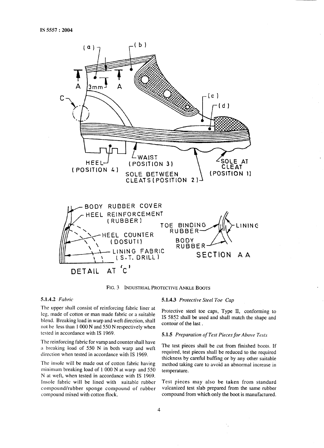

**FIG. 3 INDUSTRIALPROTECTIVEANKLE BOOTS**

# **5.1.4.2** *Fabric*

The upper shall consist of reinforcing fabric liner at leg, made of cotton or man made fabric or a suitable blend. Breaking load in warp and weft direction, shall not be less than 1000 N and 550 N respectively when tested in accordance with IS 1969.

The reinforcing fabric for vamp and counter shall have a breaking load of 550 N in both warp and weft direction when tested in accordance with IS 1969.

The insole will be made out of cotton fabric having minimum breaking load of 1000 N at warp and 550 N at weft, when tested in accordance with IS 1969. Insole fabric will be lined with suitable rubber compound/rubber sponge compound of rubber compound mixed with cotton flock.

#### 5.1.4.3 *Protective Steel Toe Cap*

Protective steel toe caps, Type II, conforming to IS 5852 shall be used and shall match the shape and contour of the last.

#### 5.1.5 *Preparation of Test Pieces for Above Tests*

The test pieces shall be cut from finished boots. If required, test pieces shall be reduced to the required thickness by careful buffing or by any other suitable method taking care to avoid an abnormal increase in temperature.

Test pieces may also be taken from standard vulcanized test slab prepared from the same rubber compound from which only the boot is manufactured.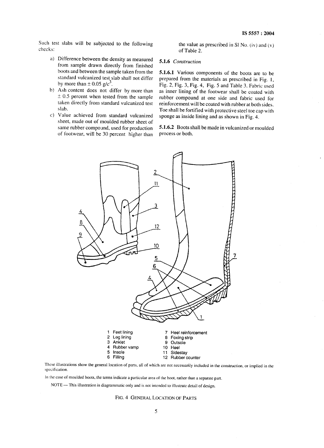Such test slabs will be subjected to the following **checks:**

- a) Difference between the density as measure from sample drawn directly from finished boots and between the sample taken from the standard vulcanized test slab shall not differ by more than  $\pm$  0.05 g/c<sup>3</sup>.
- **b)** Ash content does not differ by more than  $\pm$  0.5 percent when tested from the sample taken directly from standard vulcanized test slab.
- c) Value achieved from standard vulcanize sheet, made out of moulded rubber sheet of same rubber compound, used for production of footwear, will be 30 percent higher than

the value as prescribed **in S1 No. (iv) and (v)** of Table 2.

# 5.1.6 *Construction*

*5.1.6.1* Various components of the boots are to be prepared from the materials as prescribed in Fig. 1, Fig. 2, Fig. 3, Fig. 4, Fig. 5 and Table 3. Fabric used as inner lining of the footwear shall be coated with rubber compound at one side and fabric used for reinforcement will be coated with rubber at both sides. Toe shall be fortified with protective steel toe cap with sponge as inside lining and as shown in Fig. 4.

5.1.6.2 Boots shall be made in vulcanized or moulded process or both.



These Illustrations show the general location of parts, all of which are not necessarily included in the construction. or inmlied in the specification. <sup>L</sup>

In the case of moulded boots, the terms indicate a particular area of the boot, rather than a separate part.

NOTE - This illustration is diagrammatic only and is not intended to illustrate detail of design.

FIG. 4 **GENERAL LOCATION OF PARTS**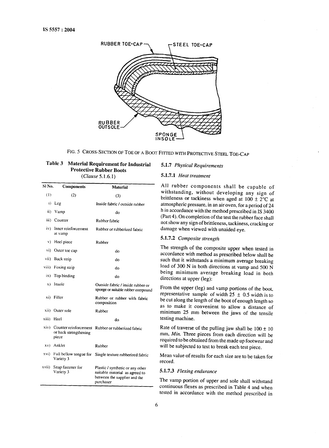

FIG. 5 CROSS-SECTION**OF TOE OF A BOOT** FITTED WITH PROTECTIVE STEEL TOE-CAP

| Table 3 Material Requirement for Industrial |
|---------------------------------------------|
| <b>Protective Rubber Boots</b>              |
| (Clause 5.1.6.1)                            |

| SI No.         | Components                                              | <b>Material</b>                                                                                                 |  |
|----------------|---------------------------------------------------------|-----------------------------------------------------------------------------------------------------------------|--|
| (1)            | (2)                                                     | (3)                                                                                                             |  |
| i)             | Leg                                                     | Inside fabric / outside rubber                                                                                  |  |
| ii)            | Vamp                                                    | do                                                                                                              |  |
|                | iii) Counter                                            | Rubber fabric                                                                                                   |  |
| iv).           | Inner reinforcement<br>at vamp                          | Rubber or rubberized fabric                                                                                     |  |
| V)             | Heel piece                                              | Rubber                                                                                                          |  |
| $\mathbf{vi})$ | Outer toe cap                                           | do                                                                                                              |  |
|                | vii) Back strip                                         | do                                                                                                              |  |
|                | viii) Foxing strip                                      | d٥                                                                                                              |  |
| 1X).           | Top binding                                             | do                                                                                                              |  |
| $x$ )          | Insole                                                  | Outside fabric / inside rubber or<br>sponge or suitable rubber compound                                         |  |
| xi)            | Filler                                                  | Rubber or rubber with fabric<br>composition                                                                     |  |
|                | xii) Outer sole                                         | Rubber                                                                                                          |  |
| xiii) Heel     |                                                         | do                                                                                                              |  |
| xiv)           | Counter reinforcement<br>or back strengthening<br>piece | Rubber or rubberized fabric                                                                                     |  |
|                | xv) Anklet                                              | Rubber                                                                                                          |  |
| xvi)           | Variety 3                                               | Full bellow tongue for Single texture rubberized fabric                                                         |  |
| xvii)          | Snap fastener for<br>Variety 3                          | Plastic / synthetic or any other<br>suitable material as agreed to<br>between the supplier and the<br>purchaser |  |

# 5.1.7 *Physical Requirements*

# *5.1.7.1 Heat treatment*

All rubber components shall be capable of withstanding, without developing any sign of brittleness or tackiness when aged at  $100 \pm 2^{\circ}$ C at atmospheric pressure, in an air oven, for a period of **24** h in accordance with.the method prescribed in IS 3400 (Part 4). On completion of the test the rubber face shall not show any sign of brittleness, tackiness, cracking or damage when viewed with unaided eye.

# 5.1.7.2 *Composite strength*

The strength of the composite upper when tested in accordance with method as prescribed below shall be such that it withstands a minimum average breaking load of 300 N in both directions at vamp and 500 N being minimum average breaking load in both directions at upper (leg):

From the upper (leg) and vamp portions of the boot, representative sample of width 25  $\pm$  0.5 width is to be cut along the length of the boot of enough length so as to make it convenient to allow a distance of minimum 25 mm between the jaws of the tensile testing machine.

Rate of traverse of the pulling jaw shall be  $100 \pm 10$ mm, *Min*. Three pieces from each direction will be required to be obtained from the made up footwear and will be subjected to test to break each test piece.

Mean value of results for each size are to be taken for record.

# 5.1.7.3 *Flexing endurance*

The vamp portion of upper and sole shall withstand continuous flexes as prescribed in Table 4 and when tested in accordance with the method prescribed in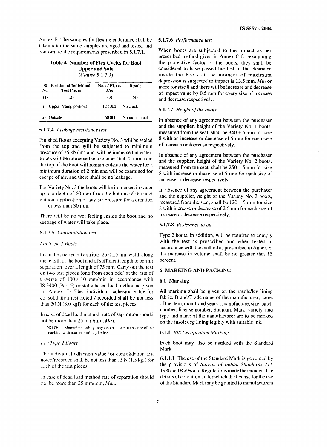Annex B. The samples for flexing endurance shall be taken after the same samples are aged and tested and conform to the requirements prescribed in 5.1.7.1.

# Table 4 Number of Flex Cycles for Boot Upper and Sole (Clause 5.1.7.3)

| SI<br>No. | <b>Position of Individual</b><br><b>Test Pieces</b> | No. of Flexes<br>Min | Result           |
|-----------|-----------------------------------------------------|----------------------|------------------|
| (1)       | (2)                                                 | (3)                  | (4)              |
|           | i) Upper (Vamp portion)                             | 12.5000              | No crack         |
| 11)       | Outsole                                             | 60.000               | No initial crack |

# **5.1.7.4** *Leakage resistance test*

Finished Boots excepting Variety No. 3 will be sealed from the top and will be subjected to minimum pressure of  $15$  kN/  $m<sup>2</sup>$  and will be immersed in water. Boots will be immersed in a manner that 75 mm from the top of the boot will remain outside the water for a minimum. duration of 2 min and will be examined for escape of air, and there shall be no leakage.

For Variety No, 3 the boots will be immersed in water up to a depth of 60 mm from the bottom of the boot without application of any air pressure for a duration of not less than 30 min.

There will be no wet feeling inside the boot and no seepage of water will take place.

# 5.1.7.5 *Consolidation test*

# *For Type I Boots*

From the quarter cut a strip of  $25.0 \pm 5$  mm width along the length of the boot and of sufficient length to permi separation over a length of 75 mm. Carry out the test on two test pieces (one from each odd) at the rate of traverse of  $100 \pm 10$  mm/min in accordance with IS 3400 (Part 5) or static based load method as given in Annex D. The individual adhesion value for consolidation test noted / recorded shall be not less than 30 N (3.0 kgf) for each of the test pieces.

In case of dead load method, rate of separation should not be more than 25 mm/min, *Max.*

NOTE — Manual recording may also be done in absence of the machine with auto recording device,

# ["or **Type** 2 **Boots**

The **individual adhesion value** for consolidation test noted/recorded shall be not less than  $15 N (1.5 \text{ kgf})$  for each of the test pieces.

1n case of dead load method rate of separation should not be more than 25 mm/min. Max.

# 5.1.7.6 *Performance test*

When boots are subjected to the impact as per prescribed method given in Annex C for examining the protective factor of the boots, they shall be considered to have passed the test, if the clearance inside the boots at the moment of maximum depression is subjected to impact is 13.5 mm, *Min* or more for size 8 and there will be increase and decrease of impact value by 0.5 mm for every size of increase and decrease respectively.

# 5.1.7.7 *Height of the boots*

In absence of any agreement between the purchaser and the supplier, height of the Variety No. 1 boots, measured from the seat, shall be  $340 \pm 5$  mm for size 8 with an increase or decrease of 5 mm for each size of increase or decrease respectively.

In absence of any agreement between the purchaser and the supplier, height of the Variety No. 2 boots, measured from the seat, shall be  $250 \pm 5$  mm for size 8 with increase or decrease of 5 mm for each size of increase or decrease respectively.

In absence of any agreement between the purchaser and the supplier, height of the Variety No. 3 boots, measured from the seat, shall be  $120 \pm 5$  mm for size 8 with increase or decrease of 2.5 mm for each size of increase or decrease respectively.

# 5.1.7.8 *Resistance to oil*

Type 2 boots, in addition, will be required to comply with the test as prescribed and when tested in accordance with the method as prescribed in Annex E, the increase in volume shall be no greater that 15 percent.

# 6 MARKING AND PACKING

# 6.1 Marking

All marking shall be given on the insole/leg lining fabric. Brand/Trade name of the manufacturer, name of the item, month and year of manufacture, size, batch number, license number, Standard Mark, variety and type and name of the manufacturer are to be marked on the insole/leg lining legibly with suitable ink.

# 6.1.1 *BIS Certification Marking*

Each boot may also be marked with the Standard Mark.

6.1.1.1 The use of the Standard Mark is governed by the provisions of *Bureau of Indian Standards Act, 1986* and Rules and Regulations made thereunder. The details of condition under which the license for the use of the Standard Mark maybe granted to manufacturers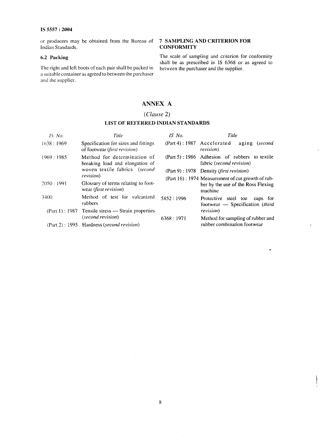**or producers may be obtained from the Bureau** of **7 SAMPLING AND CRITERION FOR**  $I<sub>ndian</sub>$  **Standards.** 

The right and left boots of each pair shall be packed in a suitable container as agreed to between the purchaser and the supplier.

**6.2 Packing** The scale of sampling and criterion for conformity shall be as prescribed in IS 6368 or as agreed to between the purchaser and the supplier.

.

# **ANNEX A**

# *(Clause* **2)**

# **LIST OF REFERRED INDIAN STANDARDS**

| $IS$ No.  | Title                                                                | IS No.                     | Title                                                                     |
|-----------|----------------------------------------------------------------------|----------------------------|---------------------------------------------------------------------------|
| 1638:1969 | Specification for sizes and fittings<br>of footwear (first revision) | (Part 4): 1987 Accelerated | aging (second<br><i>revision</i> )                                        |
| 1969:1985 | Method for determination of<br>breaking load and elongation of       |                            | (Part 5): 1986 Adhesion of rubbers to textile<br>fabric (second revision) |
|           | woven textile fabrics (second                                        |                            | (Part 9): 1978 Density (first revision)                                   |
|           | revision)                                                            |                            | (Part 16): 1974 Measurement of cut growth of rub-                         |
| 2050:1991 | Glossary of terms relating to foot-<br>wear (first revision)         |                            | ber by the use of the Ross Flexing<br>machine                             |
| 3400      | Method of test for vulcanized<br>rubbers                             | 5852:1996                  | Protective steel toe<br>caps for<br>footwear - Specification (third       |
|           | $(Part 1): 1987$ Tensile stress — Strain properties                  |                            | revision)                                                                 |
|           | (second revision)                                                    | 6368:1971                  | Method for sampling of rubber and                                         |
|           | (Part 2): 1995 Hardness (second revision)                            |                            | rubber combination footwear                                               |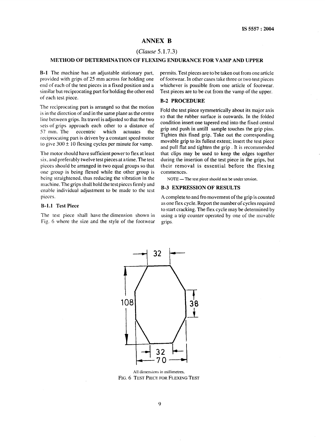# **ANNEX B**

# **(Ckuse 5.1 .7.3)**

# **METHOD OF DETERMINATION OF FLEXING ENDURANCE FOR VAMP AND UPPER**

**B-1** The machine has an adjustable stationary part, provided with grips of  $25 \text{ mm}$  across for holding one end of each of the test pieces in a fixed position and a similar but reciprocating part for holding the other end of each test piece.

The reciprocating part is arranged so that the motion is in the direction of and in the same plane as the centre line between grips. Its travel is adjusted so that the two sets of grips approach each other to a distance of 57 mm. The eccentric which actuates the 57 mm. The eccentric which actuates the reciprocating part is driven by a constant speed motor to give  $300 \pm 10$  flexing cycles per minute for vamp.

The motor should have sufficient power to flex at least six, and preferably twelve test pieces at a time. The test pieces should be arranged in two equal groups so that one group is being flexed while the other group is being straightened. thus reducing the vibration in the machine. The grips shall hold the test pieces firmly and enable individual adjustment to be made to the test pieces.

#### B-1.1 **Test Piece**

The test piece shall have the dimension shown in Fig. 6 where the size and the style of the footwear

permits. Test pieces are to be taken out from one article of footwear. In other cases take three or two test pieces whichever is possible from one article of footwear. Test pieces are to be cut from the vamp of the upper.

# B-2 PROCEDURE

Fold the test piece symmetrically about its major axis so that the rubber surface is outwards. In the folded condition insert one tapered end into the fixed central grip and push in untill sample touches the grip pins. Tighten this fixed grip. Take out the corresponding movable grip to its fullest extent; insert the test piece and pull flat and tighten the grip . It is recommended that clips may be used to keep the edges together during the insertion of the test piece in the grips, but their removal is essential before the flexing commences.

**NOTE —** The test piece should not be under tension.

#### B-3 EXPRESSION OF RESULTS

A complete to and fro movement of the grip is-counted as one flex cycle. Report the number of cycles required to start cracking. The flex cycle maybe determined by using a trip counter operated by one of the movable grips



All dimensions in millimetres. **FIG.** 6 **TEST PIECEFORFLEXING TEST**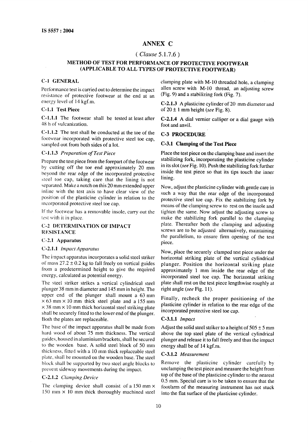# **ANNEX C**

# **(** *Clause* 5.1.7.6)

# **METHOD OF TEST FOR PE-RFORMANCE OF PROTECTIVE FOOTWEAR (APPLICABLE TO ALL TYPES OF PROTECTIVE FOOTWEAR)**

# **C-1 GENERAL**

Performance test is carried out to determine the impact resistance of protective footwear at the end at an energy level of 14 kgf.m.

# C-1.1 **Test Piece**

**C-1.1.1** The footwear shall be tested at least after 48 h of vulcanization.

**C-1 .1.2** The test shall be conducted at the toe of the **footwear incorporated with protective steel toe cap, sampled out from both sides of a lot.**

# **C-1 .1.3** *Preparation of Test Piece*

Prepare the test piece from the forepart of the footwear by cutting off the toe end approximately 20 mm beyond the rear edge of the incorporated protective steel toe cap, taking care that the lining is not separated. Make a notch on this 20 mm extended upper inline with the test axis to have clear view of the position of the plasticine cylinder in relation to the incorporated protective steel toe cap.

If the footwear has a removable insole, carry out the test with it in place.

# C-z [DETERMINATION OF IMPACT **RESISTANCE**

# **C-2.1 Apparatus**

# **C-2.1.1 impacl** *Apparatus*

The **impact apparatus incorporates a solid steel striker of mass 27.2 ~ 0.2 kg to fall freely on vertical guides from** a predetermined height to give the require energy, calculated as potential energy.

The steel striker strikes a vertical cylindrical steel plunger 38 mm in diameter and 145 mm in height. The upper end of the plunger shall mount a 63 mm  $\times$  63 mm  $\times$  10 mm thick steel plate and a 155 mm  $\times$  38 mm  $\times$  10 mm thick horizontal steel striking plate shall be securely fitted to the lower end of the plunger. Both the plates are replaceable.

The base of the impact apparatus shall be made from hard wood of about 75 mm thickness. The vertical guides, housed in aluminium brackets, shall be secured to the wooden base. A solid steel block of 50 mm thickness, fitted with a 10 mm thick replaceable steel plate, shall be mounted on the wooden base. **The steel** block shall be supported by two steel angle blocks to prevent sideway movements during the impact.

# C-2.1.2 *Clamping Device*

The clamping device shall consist of a 150 mm x 150 mm  $\times$  10 mm thick thoroughly machined steel clamping plate with M-10 threaded hole, a clamping allen screw with M-10 thread, an adjusting screw (Fig. 9) and a stabilizing fork (Fig. 7).

C-2.1.3 A plasticine cylinder of 20 mm diameter and of  $20 \pm 1$  mm height (see Fig. 8).

C-2.1.4 A dial vernier calliper or a dial gauge with foot and anvil.

# C-3 **PROCEDURE**

# **C-3.1 Clamping of the Test Piece**

Place the test piece on the clamping base and insert the stabilizing fork, incorporating the plasticine cylinder in its slot (see Fig. 10). Push the stabilizing fork further inside the test piece so that its tips touch the inner lining.

Now, adjust the plasticine cylinder with gentle care in such a way that the rear edge of the incorporated protective steel toe cap. Fix the stabilizing fork by means of the clamping screw to rest on the insole and tighten the same. Now adjust the adjusting screw to make the stabilizing fork parallel to the clamping plate. Thereafter both the clamping and adjusting screws are to be adjusted alternatively, maintaining the parallelism, to ensure firm opening of the test piece.

Now, place the securely clamped test piece under the horizontal striking plate of the vertical cylindrical plunger. Position the horizontal striking plate approximately 1 mm inside the rear edge of the incorporated steel toe cap. The horizontal striking plate shall rest on the test piece lengthwise roughly at right angle (see Fig. 11).

Finally, recheck the proper positioning of the plasticine cylinder in relation to the rear edge of the incorporated protective steel toe cap.

# C-3.1.1 *Impact*

Adjust the solid steel striker to a height of  $505 \pm 5$  mm above the top steel plate of the vertical cylindrical plunger and release it to fall freely and thus the impact energy shall be of 14 kgf.m.

# C-3.1.2 *Measurement*

**Remove** the plasticine cylinder carefully by unclamping the test piece and measure the height from top of the base of the plasticine cylinder to the nearest 0.5 mm. Special care is to be taken to ensure that the foot/arm of the measuring instrument has not stuck into the flat surface of the plasticine cylinder.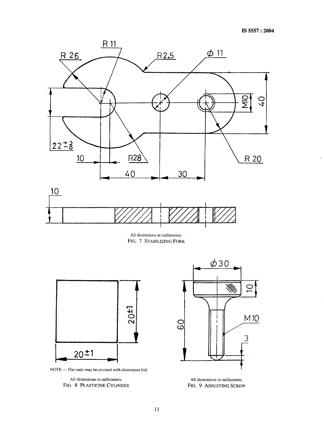

**All** dimensions in millimetres. **FIG. 7 STABILIZINGFORK**



NOTE — Flat ends may be covered with aluminium foil.

**All dimensions**in millimetres. **FIG. 8** PLASTICINE CYLINDER



**All** dimensions in millimetres, **FIG.** 9 **ADJUSTING SCREW**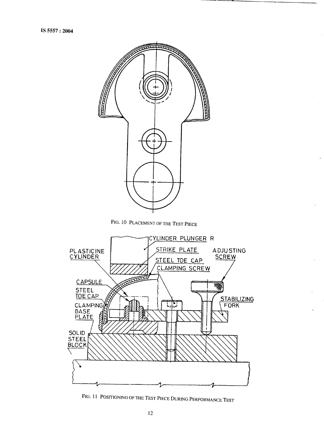

FIG. 11 **POSITIONINGOF THE TEST PIECEDURING PERFORMANCE TEST**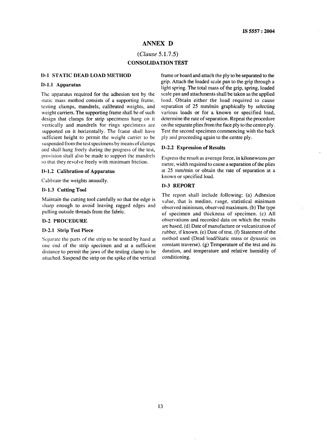# **ANNEX D**

# $(Clause 5.1.7.5)$ **CONSOLIDATION TEST**

# **D-l STATIC DEAD LOAD METHOD**

#### **D-1,1 Apparatus**

The apparatus required for the adhesion test by the static mass method consists of a supporting frame, testing clamps, mandrels, calibrated weights, and weight carriers. The supporting frame shall be of such design that clamps for strip specimens hang on it vertically and mandrels for rings specimens are supported on it horizontally. The frame shall have sufficient height to permit the weight carrier to be suspended from the test specimens by means of clamps and shall hang freely during the progress of the test, provision shall also be made to support the mandrels so that they revolve freely with minimum friction.

#### **D-1.2 Calibration of Apparatus**

Calibrate the weights annually.

#### D-1.3 Cutting Tool

Maintain the cutting tool carefully so that the edge is sharp enough to avoid leaving ragged edges and pulling outside threads from the fabric.

#### D-2 PROCEDURE

# D-2.1 Strip Test Piece

Separate the parts of the strip to be tested by hand at one end of the strip specimen and at a sufficient distance to permit the jaws of the testing clamp to be attached. Suspend the strip on the spike of the vertical frame or board and attach the ply to be separated to the grip. Attach the loaded scale pan to the grip through a light spring. The total mass of the grip, spring, loaded scale pan and attachments shall be taken as the applied load. Obtain either the load required to cause separation of 25 mm/min graphically by selecting various loads or for a known or specified load, determine the rate of separation. Repeat the procedure on the separate plies from the face ply to the centre ply. Test the second specimen commencing with the back ply and proceeding again to the centre ply.

#### D-2.2 **Expression of Results**

Express the result as average force, in kilonewtons per metre, width required to cause a separation of the plies at 25 mm/min or obtain the rate of separation at a known or specified load.

## D-3 REPORT

The report shall include following: (a) Adhesion value, that is median, range, statistical minimum observed minimum, observed maximum. (b) The type of specimen and thickness of specimen. (c) All observations and recorded data on which the results are based. (d) Date of manufacture or vulcanization of rubber, if known. (e) Date of test. (f) Statement of the method used (Dead load/Static mass or dynamic on constant traverse). (g) Temperature of the test and its duration, and temperature and relative humidity of conditioning.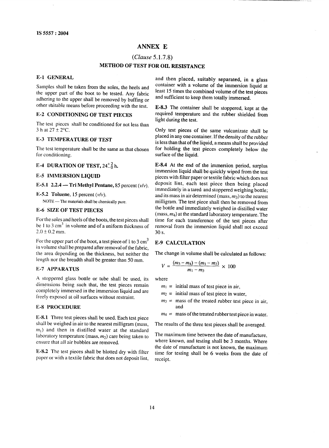# **ANNEX E**

# *(Clause* 5.1.7.8)

# **METHOD OF TEST FOR OIL RESISTANCE**

### **E-1 GENERAL**

Samples shall be taken from the soles, the heels and the upper part of the boot to be tested. Any fabric the upper part of the boot to be tested. Any fabric adhering to the upper shall be removed by buffing or other stitable means before proceeding with the test.

# E-2 CONDITIONING OF TEST PIECES

The test pieces shall be conditioned for not less than 3 h at  $27 \pm 2$  °C.

# E-3 TEMPERATURE OF TEST

The test temperature shall be the same as that chosen for conditioning.

# E-4 DURATION OF TEST,  $24\frac{1}{2}$ h.

# E-5 IMMERSION LIQUID

E-5.1 2.2.4 — Tri Methyl Pentane, 85 percent  $(v/v)$ .

E-5.2 Toluene, 15 percent  $(v/v)$ .

**NOTE —** The materials shall be chemically pure,

# E-6 SIZE OF TEST PIECES

For the soles and heels of the boots, the test pieces shall be 1 to 3 cm<sup>3</sup> in volume and of a uniform thickness of  $2.0 \pm 0.2$  mm.

For the upper part of the boot, a test piece of 1 to 3  $cm<sup>3</sup>$ in volume shall be prepared after removal of the fabric, the area depending on the thickness, but neither the length nor the breadth shall be greater than 50 mm.

# E-7 APPARATUS

A stoppered glass bottle or tube shall be used, its dimensions being such that, the test pieces remain dimensions being such that, the test pieces remain conlpletely immersed in the immersion liquid and are freely exposed at oil surfaces without restraint.

# E-8 PROCEDURE

E-8.1 Three test pieces shall be used. Each test piece shall be weighed in air to the nearest milligram (mass,  $m<sub>1</sub>$ ) and then in distilled water at the standard laboratory temperature (mass,  $m_2$ ) care being taken to ensure that all air bubbles are removed.

E-8.2 The test pieces shall be blotted dry with filter paper or with a textile fabric that does not deposit lint,

and then placed, suitably separated, in a glass container with a volume of the immersion liquid at least 15 times the combined volume of the test pieces and sufficient to keep them totally immersed.

E-8.3 The container shall be stoppered, kept at the required temperature and the rubber shielded from light during the test.

Only test pieces of the same vulcanizate shall be placed in anyone container. If the density of the rubber is less than that of the liquid, a means shall be provided for holding the test pieces completely below the surface of the liquid.

E-8.4 At the end of the immersion period, surplus immersion liquid shall be quickly wiped from the test pieces with filter paper or textile fabric which does not deposit lint, each test piece then being placed immediately in a tared and stoppered weighing bottle; and its mass in air determined (mass,  $m_3$ ) to the nearest milligram. The test piece shall then be removed from the bottle and immediately weighed in distilled water  $(mass, m<sub>4</sub>)$  at the standard laboratory temperature. The time for each transference of the test pieces after removal from the immersion liquid shall not exceed **30** s.

# E-9 CALCULATION

The change in volume shall be calculated as follows:

$$
V = \frac{(m_3 - m_4) - (m_1 - m_2)}{m_1 - m_3} \times 100
$$

where

- $m_1$  = initial mass of test piece in air,
- $m_2$  = initial mass of test piece in water,
- $m_3$  = mass of the treated rubber test piece in air, and
- $m_4$  = mass of the treated rubber test piece in water.

The results of the three test pieces shall be averaged.

The maximum time between the date of manufacture, where known, and testing shall be 3 months, Where the date of manufacture is not known, the maximum time for testing shall be 6 weeks from the date of receipt.